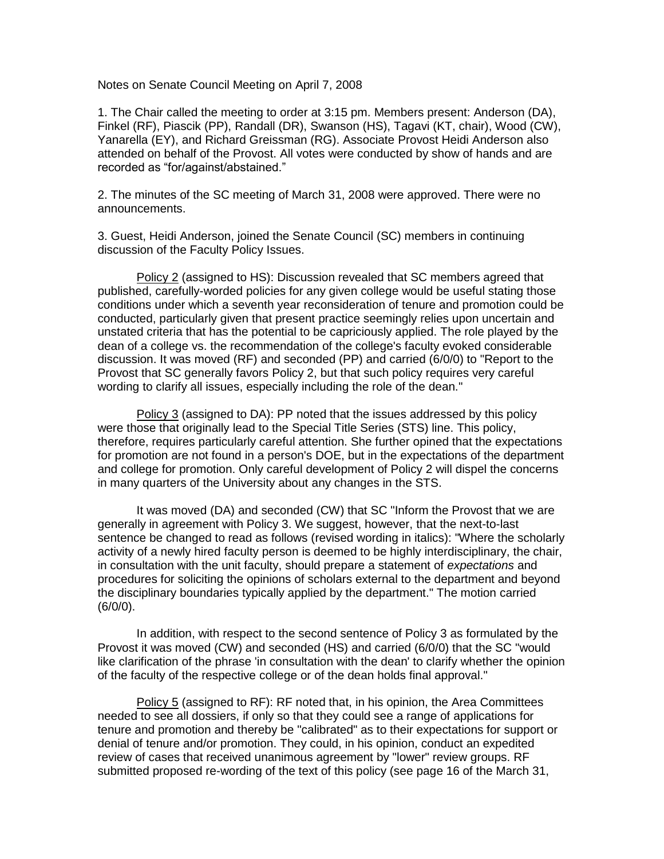Notes on Senate Council Meeting on April 7, 2008

1. The Chair called the meeting to order at 3:15 pm. Members present: Anderson (DA), Finkel (RF), Piascik (PP), Randall (DR), Swanson (HS), Tagavi (KT, chair), Wood (CW), Yanarella (EY), and Richard Greissman (RG). Associate Provost Heidi Anderson also attended on behalf of the Provost. All votes were conducted by show of hands and are recorded as "for/against/abstained."

2. The minutes of the SC meeting of March 31, 2008 were approved. There were no announcements.

3. Guest, Heidi Anderson, joined the Senate Council (SC) members in continuing discussion of the Faculty Policy Issues.

Policy 2 (assigned to HS): Discussion revealed that SC members agreed that published, carefully-worded policies for any given college would be useful stating those conditions under which a seventh year reconsideration of tenure and promotion could be conducted, particularly given that present practice seemingly relies upon uncertain and unstated criteria that has the potential to be capriciously applied. The role played by the dean of a college vs. the recommendation of the college's faculty evoked considerable discussion. It was moved (RF) and seconded (PP) and carried (6/0/0) to "Report to the Provost that SC generally favors Policy 2, but that such policy requires very careful wording to clarify all issues, especially including the role of the dean."

Policy 3 (assigned to DA): PP noted that the issues addressed by this policy were those that originally lead to the Special Title Series (STS) line. This policy, therefore, requires particularly careful attention. She further opined that the expectations for promotion are not found in a person's DOE, but in the expectations of the department and college for promotion. Only careful development of Policy 2 will dispel the concerns in many quarters of the University about any changes in the STS.

It was moved (DA) and seconded (CW) that SC "Inform the Provost that we are generally in agreement with Policy 3. We suggest, however, that the next-to-last sentence be changed to read as follows (revised wording in italics): "Where the scholarly activity of a newly hired faculty person is deemed to be highly interdisciplinary, the chair, in consultation with the unit faculty, should prepare a statement of *expectations* and procedures for soliciting the opinions of scholars external to the department and beyond the disciplinary boundaries typically applied by the department." The motion carried (6/0/0).

In addition, with respect to the second sentence of Policy 3 as formulated by the Provost it was moved (CW) and seconded (HS) and carried (6/0/0) that the SC "would like clarification of the phrase 'in consultation with the dean' to clarify whether the opinion of the faculty of the respective college or of the dean holds final approval."

Policy 5 (assigned to RF): RF noted that, in his opinion, the Area Committees needed to see all dossiers, if only so that they could see a range of applications for tenure and promotion and thereby be "calibrated" as to their expectations for support or denial of tenure and/or promotion. They could, in his opinion, conduct an expedited review of cases that received unanimous agreement by "lower" review groups. RF submitted proposed re-wording of the text of this policy (see page 16 of the March 31,